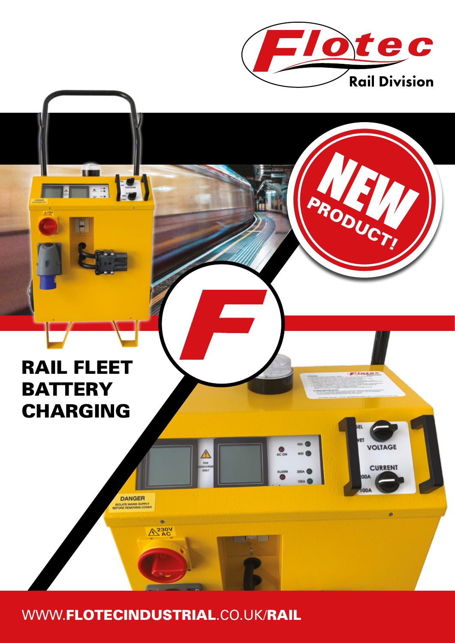

BRODA

VOLTAGE

**CURRENT** 

OO.

# **RAIL FLEET BATTERY CHARGING**

**FREE** 

WWW.FLOTECINDUSTRIAL.CO.UK/RAIL

 $\bullet$  $A^{230V}_{AC}$ 

DANGER **BOLATE MAINS SUPPLY**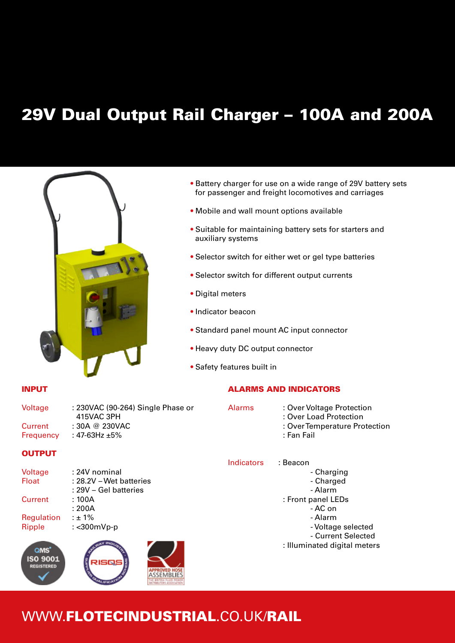### 29V Dual Output Rail Charger – 100A and 200A



- Battery charger for use on a wide range of 29V battery sets for passenger and freight locomotives and carriages
- Mobile and wall mount options available
- Suitable for maintaining battery sets for starters and auxiliary systems
- Selector switch for either wet or gel type batteries
- Selector switch for different output currents
- Digital meters
- Indicator beacon
- Standard panel mount AC input connector
- Heavy duty DC output connector
- Safety features built in

#### ALARMS AND INDICATORS

Voltage : 230VAC (90-264) Single Phase or 415VAC 3PH Current : 30A @ 230VAC Frequency : 47-63Hz ±5% Alarms: Over Voltage Protection

#### **OUTPUT**

Voltage : 24V nominal Float : 28.2V – Wet batteries : 29V – Gel batteries Current : 100A : 200A Regulation :  $± 1%$ Ripple : <300mVp-p



Indicators : Beacon - Charging - Charged - Alarm : Front panel LEDs - AC on - Alarm - Voltage selected - Current Selected : Illuminated digital meters

: Fan Fail

: Over Load Protection

: Over Temperature Protection

### WWW.FLOTECINDUSTRIAL.CO.UK/RAIL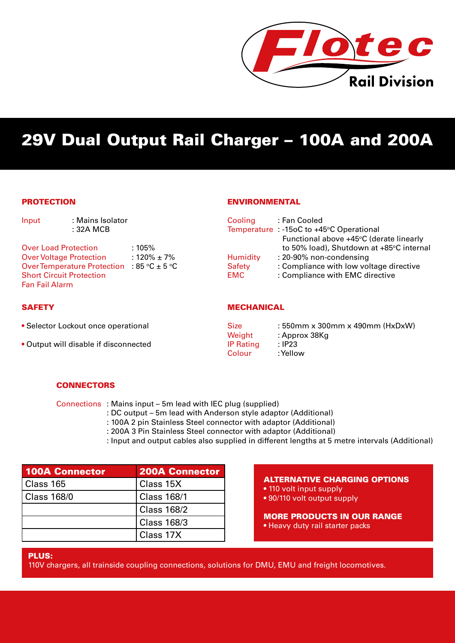

## 29V Dual Output Rail Charger – 100A and 200A

#### **PROTECTION**

| Input                                                                                                                     | : Mains Isolator<br>: 32A MCB                  |                             | Cooling                          | : Fan Cooled<br>Temperature : -15oC to +45°C Operational<br>Functional above +45°C (derate linearly                                               |
|---------------------------------------------------------------------------------------------------------------------------|------------------------------------------------|-----------------------------|----------------------------------|---------------------------------------------------------------------------------------------------------------------------------------------------|
| <b>Over Load Protection</b><br><b>Over Voltage Protection</b><br><b>Short Circuit Protection</b><br><b>Fan Fail Alarm</b> | Over Temperature Protection : 85 °C $\pm$ 5 °C | $:105\%$<br>: 120% $\pm$ 7% | Humidity<br>Safety<br><b>EMC</b> | to 50% load), Shutdown at +85°C internal<br>: 20-90% non-condensing<br>: Compliance with low voltage directive<br>: Compliance with EMC directive |

#### **SAFETY**

- Selector Lockout once operational
- Output will disable if disconnected

#### MECHANICAL

ENVIRONMENTAL

| <b>Size</b>      | : 550mm x 300mm x 490mm (HxDxW) |
|------------------|---------------------------------|
| Weight           | : Approx 38Kg                   |
| <b>IP Rating</b> | : IP23                          |
| Colour           | : Yellow                        |

#### **CONNECTORS**

Connections : Mains input – 5m lead with IEC plug (supplied)

- : DC output 5m lead with Anderson style adaptor (Additional)
- : 100A 2 pin Stainless Steel connector with adaptor (Additional)
- : 200A 3 Pin Stainless Steel connector with adaptor (Additional)
- : Input and output cables also supplied in different lengths at 5 metre intervals (Additional)

| <b>100A Connector</b> | <b>200A Connector</b> |  |
|-----------------------|-----------------------|--|
| Class 165             | Class 15X             |  |
| <b>Class 168/0</b>    | <b>Class 168/1</b>    |  |
|                       | <b>Class 168/2</b>    |  |
|                       | <b>Class 168/3</b>    |  |
|                       | Class 17X             |  |

#### ALTERNATIVE CHARGING OPTIONS

- 110 volt input supply
- 90/110 volt output supply

MORE PRODUCTS IN OUR RANGE

• Heavy duty rail starter packs

#### PLUS:

110V chargers, all trainside coupling connections, solutions for DMU, EMU and freight locomotives.